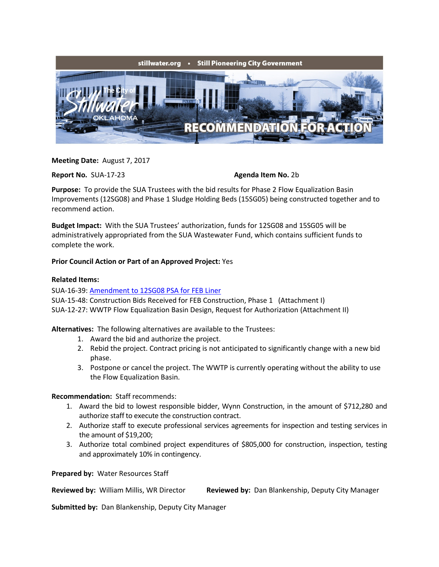

**Meeting Date:** August 7, 2017

**Report No.** SUA-17-23 **Agenda Item No. 2b** 

**Purpose:** To provide the SUA Trustees with the bid results for Phase 2 Flow Equalization Basin Improvements (12SG08) and Phase 1 Sludge Holding Beds (15SG05) being constructed together and to recommend action.

**Budget Impact:** With the SUA Trustees' authorization, funds for 12SG08 and 15SG05 will be administratively appropriated from the SUA Wastewater Fund, which contains sufficient funds to complete the work.

## **Prior Council Action or Part of an Approved Project:** Yes

## **Related Items:**

SUA-16-39: [Amendment to 12SG08 PSA for FEB Liner](http://www.stillwater.org/files/agenda/sua/2016/8-1/SUA-16-39-FEB-Liner.pdf)

SUA-15-48: Construction Bids Received for FEB Construction, Phase 1 (Attachment I) SUA-12-27: WWTP Flow Equalization Basin Design, Request for Authorization (Attachment II)

**Alternatives:** The following alternatives are available to the Trustees:

- 1. Award the bid and authorize the project.
- 2. Rebid the project. Contract pricing is not anticipated to significantly change with a new bid phase.
- 3. Postpone or cancel the project. The WWTP is currently operating without the ability to use the Flow Equalization Basin.

## **Recommendation:** Staff recommends:

- 1. Award the bid to lowest responsible bidder, Wynn Construction, in the amount of \$712,280 and authorize staff to execute the construction contract.
- 2. Authorize staff to execute professional services agreements for inspection and testing services in the amount of \$19,200;
- 3. Authorize total combined project expenditures of \$805,000 for construction, inspection, testing and approximately 10% in contingency.

**Prepared by:** Water Resources Staff

**Reviewed by:** William Millis, WR Director **Reviewed by:** Dan Blankenship, Deputy City Manager

**Submitted by:** Dan Blankenship, Deputy City Manager